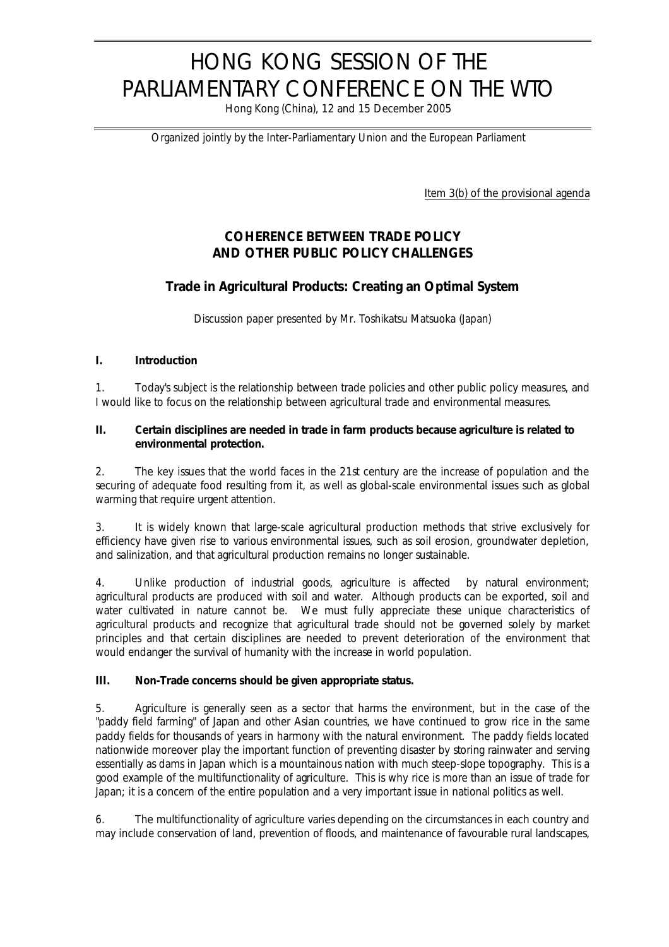# HONG KONG SESSION OF THE PARLIAMENTARY CONFERENCE ON THE WTO

Hong Kong (China), 12 and 15 December 2005

*Organized jointly by the Inter-Parliamentary Union and the European Parliament*

Item 3(b) of the provisional agenda

# **COHERENCE BETWEEN TRADE POLICY AND OTHER PUBLIC POLICY CHALLENGES**

# **Trade in Agricultural Products: Creating an Optimal System**

*Discussion paper presented by Mr. Toshikatsu Matsuoka (Japan)*

## **I. Introduction**

1. Today's subject is the relationship between trade policies and other public policy measures, and I would like to focus on the relationship between agricultural trade and environmental measures.

#### **II. Certain disciplines are needed in trade in farm products because agriculture is related to environmental protection.**

2. The key issues that the world faces in the 21st century are the increase of population and the securing of adequate food resulting from it, as well as global-scale environmental issues such as global warming that require urgent attention.

3. It is widely known that large-scale agricultural production methods that strive exclusively for efficiency have given rise to various environmental issues, such as soil erosion, groundwater depletion, and salinization, and that agricultural production remains no longer sustainable.

4. Unlike production of industrial goods, agriculture is affected by natural environment; agricultural products are produced with soil and water. Although products can be exported, soil and water cultivated in nature cannot be. We must fully appreciate these unique characteristics of agricultural products and recognize that agricultural trade should not be governed solely by market principles and that certain disciplines are needed to prevent deterioration of the environment that would endanger the survival of humanity with the increase in world population.

#### **III. Non-Trade concerns should be given appropriate status.**

5. Agriculture is generally seen as a sector that harms the environment, but in the case of the "paddy field farming" of Japan and other Asian countries, we have continued to grow rice in the same paddy fields for thousands of years in harmony with the natural environment. The paddy fields located nationwide moreover play the important function of preventing disaster by storing rainwater and serving essentially as dams in Japan which is a mountainous nation with much steep-slope topography. This is a good example of the multifunctionality of agriculture. This is why rice is more than an issue of trade for Japan; it is a concern of the entire population and a very important issue in national politics as well.

6. The multifunctionality of agriculture varies depending on the circumstances in each country and may include conservation of land, prevention of floods, and maintenance of favourable rural landscapes,